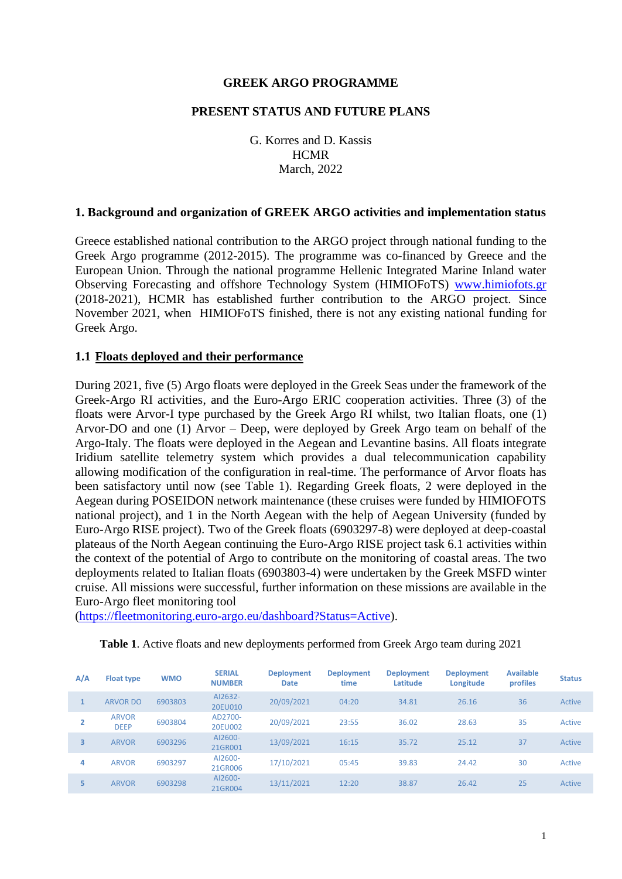#### **GREEK ARGO PROGRAMME**

#### **PRESENT STATUS AND FUTURE PLANS**

G. Korres and D. Kassis **HCMR** March, 2022

#### **1. Background and organization of GREEK ARGO activities and implementation status**

Greece established national contribution to the ARGO project through national funding to the Greek Argo programme (2012-2015). The programme was co-financed by Greece and the European Union. Through the national programme Hellenic Integrated Marine Inland water Observing Forecasting and offshore Technology System (HIMIOFoTS) [www.himiofots.gr](http://www.himiofots.gr/) (2018-2021), HCMR has established further contribution to the ARGO project. Since November 2021, when HIMIOFoTS finished, there is not any existing national funding for Greek Argo.

#### **1.1 Floats deployed and their performance**

During 2021, five (5) Argo floats were deployed in the Greek Seas under the framework of the Greek-Argo RI activities, and the Euro-Argo ERIC cooperation activities. Three (3) of the floats were Arvor-I type purchased by the Greek Argo RI whilst, two Italian floats, one (1) Arvor-DO and one (1) Arvor – Deep, were deployed by Greek Argo team on behalf of the Argo-Italy. The floats were deployed in the Aegean and Levantine basins. All floats integrate Iridium satellite telemetry system which provides a dual telecommunication capability allowing modification of the configuration in real-time. The performance of Arvor floats has been satisfactory until now (see Table 1). Regarding Greek floats, 2 were deployed in the Aegean during POSEIDON network maintenance (these cruises were funded by HIMIOFOTS national project), and 1 in the North Aegean with the help of Aegean University (funded by Euro-Argo RISE project). Two of the Greek floats (6903297-8) were deployed at deep-coastal plateaus of the North Aegean continuing the Euro-Argo RISE project task 6.1 activities within the context of the potential of Argo to contribute on the monitoring of coastal areas. The two deployments related to Italian floats (6903803-4) were undertaken by the Greek MSFD winter cruise. All missions were successful, further information on these missions are available in the Euro-Argo fleet monitoring tool

[\(https://fleetmonitoring.euro-argo.eu/dashboard?Status=Active\)](https://fleetmonitoring.euro-argo.eu/dashboard?Status=Active).

| A/A | <b>Float type</b>           | <b>WMO</b> | <b>SERIAL</b><br><b>NUMBER</b> | <b>Deployment</b><br><b>Date</b> | <b>Deployment</b><br>time | <b>Deployment</b><br>Latitude | <b>Deployment</b><br>Longitude | <b>Available</b><br>profiles | <b>Status</b> |
|-----|-----------------------------|------------|--------------------------------|----------------------------------|---------------------------|-------------------------------|--------------------------------|------------------------------|---------------|
|     | <b>ARVOR DO</b>             | 6903803    | AI2632-<br>20EU010             | 20/09/2021                       | 04:20                     | 34.81                         | 26.16                          | 36                           | Active        |
|     | <b>ARVOR</b><br><b>DEEP</b> | 6903804    | AD2700-<br>20EU002             | 20/09/2021                       | 23:55                     | 36.02                         | 28.63                          | 35                           | Active        |
| 3   | <b>ARVOR</b>                | 6903296    | AI2600-<br>21GR001             | 13/09/2021                       | 16:15                     | 35.72                         | 25.12                          | 37                           | Active        |
| 4   | <b>ARVOR</b>                | 6903297    | AI2600-<br>21GR006             | 17/10/2021                       | 05:45                     | 39.83                         | 24.42                          | 30                           | Active        |
| 5.  | <b>ARVOR</b>                | 6903298    | AI2600-<br>21GR004             | 13/11/2021                       | 12:20                     | 38.87                         | 26.42                          | 25                           | Active        |

**Table 1**. Active floats and new deployments performed from Greek Argo team during 2021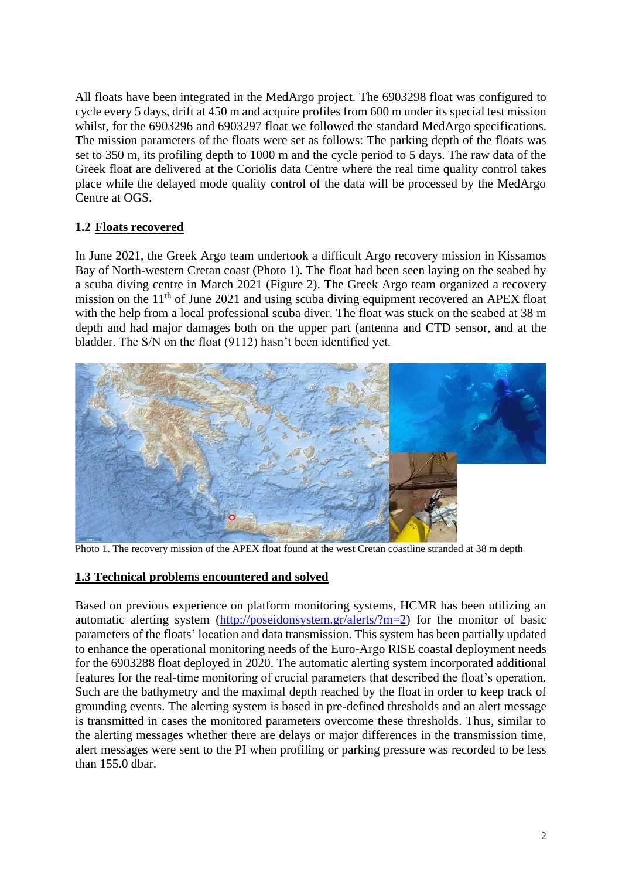All floats have been integrated in the MedArgo project. The 6903298 float was configured to cycle every 5 days, drift at 450 m and acquire profiles from 600 m under its special test mission whilst, for the 6903296 and 6903297 float we followed the standard MedArgo specifications. The mission parameters of the floats were set as follows: The parking depth of the floats was set to 350 m, its profiling depth to 1000 m and the cycle period to 5 days. The raw data of the Greek float are delivered at the Coriolis data Centre where the real time quality control takes place while the delayed mode quality control of the data will be processed by the MedArgo Centre at OGS.

# **1.2 Floats recovered**

In June 2021, the Greek Argo team undertook a difficult Argo recovery mission in Kissamos Bay of North-western Cretan coast (Photo 1). The float had been seen laying on the seabed by a scuba diving centre in March 2021 (Figure 2). The Greek Argo team organized a recovery mission on the  $11<sup>th</sup>$  of June 2021 and using scuba diving equipment recovered an APEX float with the help from a local professional scuba diver. The float was stuck on the seabed at 38 m depth and had major damages both on the upper part (antenna and CTD sensor, and at the bladder. The S/N on the float (9112) hasn't been identified yet.



Photo 1. The recovery mission of the APEX float found at the west Cretan coastline stranded at 38 m depth

### **1.3 Technical problems encountered and solved**

Based on previous experience on platform monitoring systems, HCMR has been utilizing an automatic alerting system [\(http://poseidonsystem.gr/alerts/?m=2\)](http://poseidonsystem.gr/alerts/?m=2) for the monitor of basic parameters of the floats' location and data transmission. This system has been partially updated to enhance the operational monitoring needs of the Euro-Argo RISE coastal deployment needs for the 6903288 float deployed in 2020. The automatic alerting system incorporated additional features for the real-time monitoring of crucial parameters that described the float's operation. Such are the bathymetry and the maximal depth reached by the float in order to keep track of grounding events. The alerting system is based in pre-defined thresholds and an alert message is transmitted in cases the monitored parameters overcome these thresholds. Thus, similar to the alerting messages whether there are delays or major differences in the transmission time, alert messages were sent to the PI when profiling or parking pressure was recorded to be less than 155.0 dbar.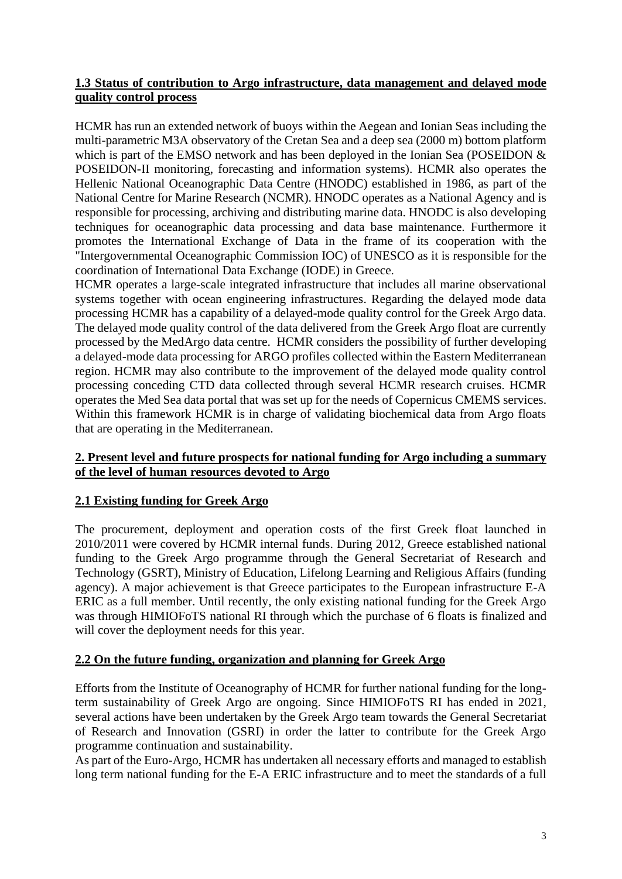### **1.3 Status of contribution to Argo infrastructure, data management and delayed mode quality control process**

HCMR has run an extended network of buoys within the Aegean and Ionian Seas including the multi-parametric M3A observatory of the Cretan Sea and a deep sea (2000 m) bottom platform which is part of the EMSO network and has been deployed in the Ionian Sea (POSEIDON & POSEIDON-II monitoring, forecasting and information systems). HCMR also operates the Hellenic National Oceanographic Data Centre (HNODC) established in 1986, as part of the National Centre for Marine Research (NCMR). HNODC operates as a National Agency and is responsible for processing, archiving and distributing marine data. HNODC is also developing techniques for oceanographic data processing and data base maintenance. Furthermore it promotes the International Exchange of Data in the frame of its cooperation with the "Intergovernmental Oceanographic Commission IOC) of UNESCO as it is responsible for the coordination of International Data Exchange (IODE) in Greece.

HCMR operates a large-scale integrated infrastructure that includes all marine observational systems together with ocean engineering infrastructures. Regarding the delayed mode data processing HCMR has a capability of a delayed-mode quality control for the Greek Argo data. The delayed mode quality control of the data delivered from the Greek Argo float are currently processed by the MedArgo data centre. HCMR considers the possibility of further developing a delayed-mode data processing for ARGO profiles collected within the Eastern Mediterranean region. HCMR may also contribute to the improvement of the delayed mode quality control processing conceding CTD data collected through several HCMR research cruises. HCMR operates the Med Sea data portal that was set up for the needs of Copernicus CMEMS services. Within this framework HCMR is in charge of validating biochemical data from Argo floats that are operating in the Mediterranean.

### **2. Present level and future prospects for national funding for Argo including a summary of the level of human resources devoted to Argo**

# **2.1 Existing funding for Greek Argo**

The procurement, deployment and operation costs of the first Greek float launched in 2010/2011 were covered by HCMR internal funds. During 2012, Greece established national funding to the Greek Argo programme through the General Secretariat of Research and Technology (GSRT), Ministry of Education, Lifelong Learning and Religious Affairs (funding agency). A major achievement is that Greece participates to the European infrastructure E-A ERIC as a full member. Until recently, the only existing national funding for the Greek Argo was through HIMIOFoTS national RI through which the purchase of 6 floats is finalized and will cover the deployment needs for this year.

### **2.2 On the future funding, organization and planning for Greek Argo**

Efforts from the Institute of Oceanography of HCMR for further national funding for the longterm sustainability of Greek Argo are ongoing. Since HIMIOFoTS RI has ended in 2021, several actions have been undertaken by the Greek Argo team towards the General Secretariat of Research and Innovation (GSRI) in order the latter to contribute for the Greek Argo programme continuation and sustainability.

As part of the Euro-Argo, HCMR has undertaken all necessary efforts and managed to establish long term national funding for the E-A ERIC infrastructure and to meet the standards of a full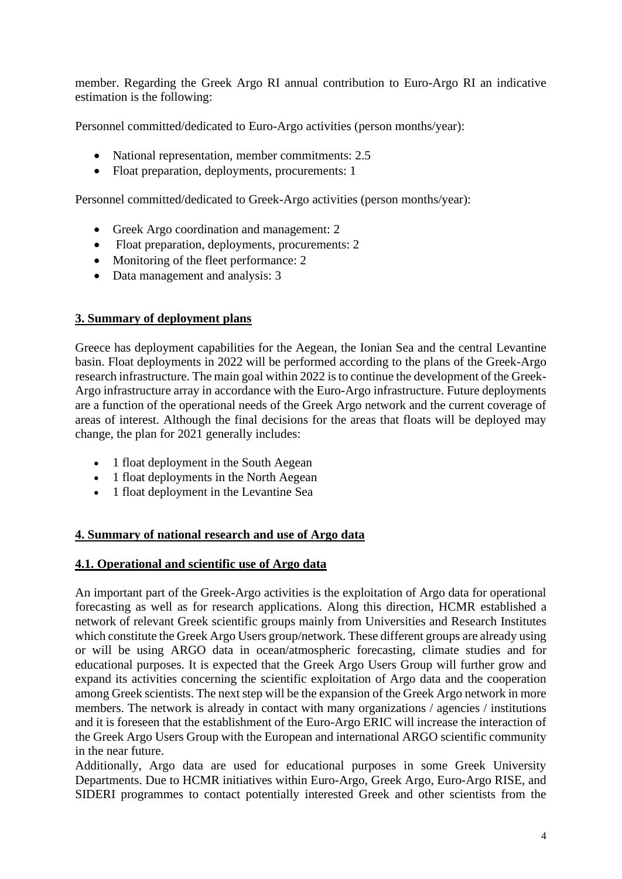member. Regarding the Greek Argo RI annual contribution to Euro-Argo RI an indicative estimation is the following:

Personnel committed/dedicated to Euro-Argo activities (person months/year):

- National representation, member commitments: 2.5
- Float preparation, deployments, procurements: 1

Personnel committed/dedicated to Greek-Argo activities (person months/year):

- Greek Argo coordination and management: 2
- Float preparation, deployments, procurements: 2
- Monitoring of the fleet performance: 2
- Data management and analysis: 3

#### **3. Summary of deployment plans**

Greece has deployment capabilities for the Aegean, the Ionian Sea and the central Levantine basin. Float deployments in 2022 will be performed according to the plans of the Greek-Argo research infrastructure. The main goal within 2022 is to continue the development of the Greek-Argo infrastructure array in accordance with the Euro-Argo infrastructure. Future deployments are a function of the operational needs of the Greek Argo network and the current coverage of areas of interest. Although the final decisions for the areas that floats will be deployed may change, the plan for 2021 generally includes:

- 1 float deployment in the South Aegean
- 1 float deployments in the North Aegean
- 1 float deployment in the Levantine Sea

#### **4. Summary of national research and use of Argo data**

#### **4.1. Operational and scientific use of Argo data**

An important part of the Greek-Argo activities is the exploitation of Argo data for operational forecasting as well as for research applications. Along this direction, HCMR established a network of relevant Greek scientific groups mainly from Universities and Research Institutes which constitute the Greek Argo Users group/network. These different groups are already using or will be using ARGO data in ocean/atmospheric forecasting, climate studies and for educational purposes. It is expected that the Greek Argo Users Group will further grow and expand its activities concerning the scientific exploitation of Argo data and the cooperation among Greek scientists. The next step will be the expansion of the Greek Argo network in more members. The network is already in contact with many organizations / agencies / institutions and it is foreseen that the establishment of the Euro-Argo ERIC will increase the interaction of the Greek Argo Users Group with the European and international ARGO scientific community in the near future.

Additionally, Argo data are used for educational purposes in some Greek University Departments. Due to HCMR initiatives within Euro-Argo, Greek Argo, Euro-Argo RISE, and SIDERI programmes to contact potentially interested Greek and other scientists from the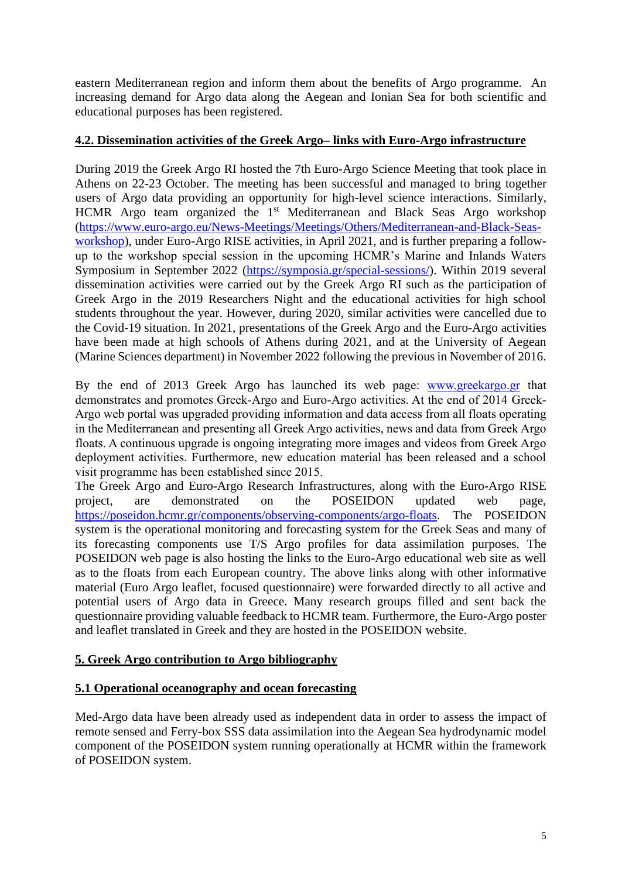eastern Mediterranean region and inform them about the benefits of Argo programme. An increasing demand for Argo data along the Aegean and Ionian Sea for both scientific and educational purposes has been registered.

### **4.2. Dissemination activities of the Greek Argo– links with Euro-Argo infrastructure**

During 2019 the Greek Argo RI hosted the 7th Euro-Argo Science Meeting that took place in Athens on 22-23 October. The meeting has been successful and managed to bring together users of Argo data providing an opportunity for high-level science interactions. Similarly, HCMR Argo team organized the 1<sup>st</sup> Mediterranean and Black Seas Argo workshop [\(https://www.euro-argo.eu/News-Meetings/Meetings/Others/Mediterranean-and-Black-Seas](https://www.euro-argo.eu/News-Meetings/Meetings/Others/Mediterranean-and-Black-Seas-workshop)[workshop\)](https://www.euro-argo.eu/News-Meetings/Meetings/Others/Mediterranean-and-Black-Seas-workshop), under Euro-Argo RISE activities, in April 2021, and is further preparing a followup to the workshop special session in the upcoming HCMR's Marine and Inlands Waters Symposium in September 2022 [\(https://symposia.gr/special-sessions/\)](https://symposia.gr/special-sessions/). Within 2019 several dissemination activities were carried out by the Greek Argo RI such as the participation of Greek Argo in the 2019 Researchers Night and the educational activities for high school students throughout the year. However, during 2020, similar activities were cancelled due to the Covid-19 situation. In 2021, presentations of the Greek Argo and the Euro-Argo activities have been made at high schools of Athens during 2021, and at the University of Aegean (Marine Sciences department) in November 2022 following the previous in November of 2016.

By the end of 2013 Greek Argo has launched its web page: [www.greekargo.gr](http://www.greekargo.gr/) that demonstrates and promotes Greek-Argo and Euro-Argo activities. At the end of 2014 Greek-Argo web portal was upgraded providing information and data access from all floats operating in the Mediterranean and presenting all Greek Argo activities, news and data from Greek Argo floats. A continuous upgrade is ongoing integrating more images and videos from Greek Argo deployment activities. Furthermore, new education material has been released and a school visit programme has been established since 2015.

The Greek Argo and Euro-Argo Research Infrastructures, along with the Euro-Argo RISE project, are demonstrated on the POSEIDON updated web page, [https://poseidon.hcmr.gr/components/observing-components/argo-floats.](https://poseidon.hcmr.gr/components/observing-components/argo-floats) The POSEIDON system is the operational monitoring and forecasting system for the Greek Seas and many of its forecasting components use T/S Argo profiles for data assimilation purposes. The POSEIDON web page is also hosting the links to the Euro-Argo educational web site as well as to the floats from each European country. The above links along with other informative material (Euro Argo leaflet, focused questionnaire) were forwarded directly to all active and potential users of Argo data in Greece. Many research groups filled and sent back the questionnaire providing valuable feedback to HCMR team. Furthermore, the Euro-Argo poster and leaflet translated in Greek and they are hosted in the POSEIDON website.

### **5. Greek Argo contribution to Argo bibliography**

### **5.1 Operational oceanography and ocean forecasting**

Med-Argo data have been already used as independent data in order to assess the impact of remote sensed and Ferry-box SSS data assimilation into the Aegean Sea hydrodynamic model component of the POSEIDON system running operationally at HCMR within the framework of POSEIDON system.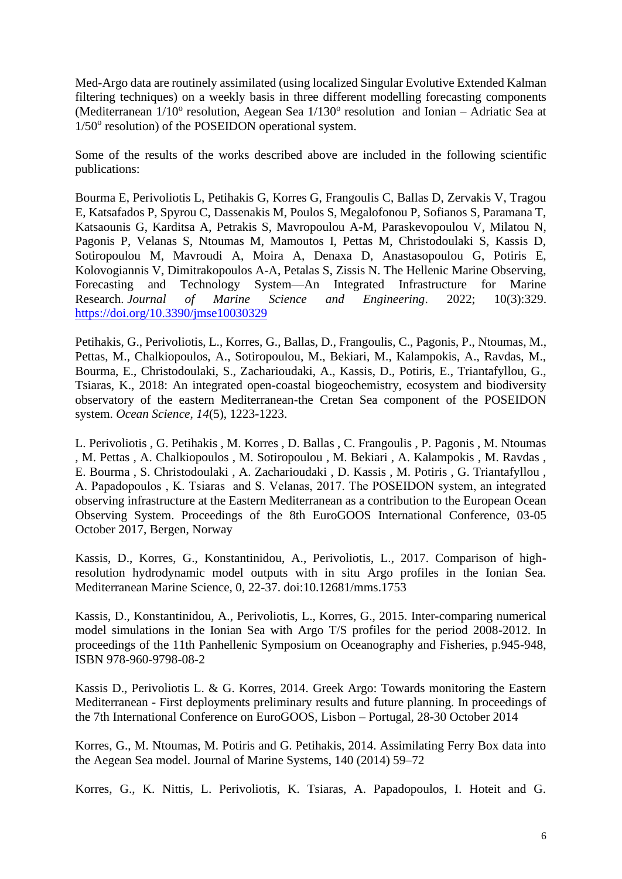Med-Argo data are routinely assimilated (using localized Singular Evolutive Extended Kalman filtering techniques) on a weekly basis in three different modelling forecasting components (Mediterranean  $1/10^{\circ}$  resolution, Aegean Sea  $1/130^{\circ}$  resolution and Ionian - Adriatic Sea at 1/50° resolution) of the POSEIDON operational system.

Some of the results of the works described above are included in the following scientific publications:

Bourma E, Perivoliotis L, Petihakis G, Korres G, Frangoulis C, Ballas D, Zervakis V, Tragou E, Katsafados P, Spyrou C, Dassenakis M, Poulos S, Megalofonou P, Sofianos S, Paramana T, Katsaounis G, Karditsa A, Petrakis S, Mavropoulou A-M, Paraskevopoulou V, Milatou N, Pagonis P, Velanas S, Ntoumas M, Mamoutos I, Pettas M, Christodoulaki S, Kassis D, Sotiropoulou M, Mavroudi A, Moira A, Denaxa D, Anastasopoulou G, Potiris E, Kolovogiannis V, Dimitrakopoulos A-A, Petalas S, Zissis N. The Hellenic Marine Observing, Forecasting and Technology System—An Integrated Infrastructure for Marine Research. *Journal of Marine Science and Engineering*. 2022; 10(3):329. <https://doi.org/10.3390/jmse10030329>

Petihakis, G., Perivoliotis, L., Korres, G., Ballas, D., Frangoulis, C., Pagonis, P., Ntoumas, M., Pettas, M., Chalkiopoulos, A., Sotiropoulou, M., Bekiari, M., Kalampokis, A., Ravdas, M., Bourma, E., Christodoulaki, S., Zacharioudaki, A., Kassis, D., Potiris, E., Triantafyllou, G., Tsiaras, K., 2018: An integrated open-coastal biogeochemistry, ecosystem and biodiversity observatory of the eastern Mediterranean-the Cretan Sea component of the POSEIDON system. *Ocean Science*, *14*(5), 1223-1223.

L. Perivoliotis , G. Petihakis , M. Korres , D. Ballas , C. Frangoulis , P. Pagonis , M. Ntoumas , M. Pettas , A. Chalkiopoulos , M. Sotiropoulou , M. Bekiari , A. Kalampokis , M. Ravdas , E. Bourma , S. Christodoulaki , A. Zacharioudaki , D. Kassis , M. Potiris , G. Triantafyllou , A. Papadopoulos , K. Tsiaras and S. Velanas, 2017. Τhe POSEIDON system, an integrated observing infrastructure at the Eastern Mediterranean as a contribution to the European Ocean Observing System. Proceedings of the 8th EuroGOOS International Conference, 03-05 October 2017, Bergen, Norway

Kassis, D., Korres, G., Konstantinidou, A., Perivoliotis, L., 2017. Comparison of highresolution hydrodynamic model outputs with in situ Argo profiles in the Ionian Sea. Mediterranean Marine Science, 0, 22-37. doi:10.12681/mms.1753

Kassis, D., Konstantinidou, A., Perivoliotis, L., Korres, G., 2015. Inter-comparing numerical model simulations in the Ionian Sea with Argo T/S profiles for the period 2008-2012. In proceedings of the 11th Panhellenic Symposium on Oceanography and Fisheries, p.945-948, ISBN 978-960-9798-08-2

Kassis D., Perivoliotis L. & G. Korres, 2014. Greek Argo: Towards monitoring the Eastern Mediterranean - First deployments preliminary results and future planning. In proceedings of the 7th International Conference on EuroGOOS, Lisbon – Portugal, 28-30 October 2014

Korres, G., M. Ntoumas, M. Potiris and G. Petihakis, 2014. Assimilating Ferry Box data into the Aegean Sea model. Journal of Marine Systems, 140 (2014) 59–72

Korres, G., K. Nittis, L. Perivoliotis, K. Tsiaras, A. Papadopoulos, I. Hoteit and G.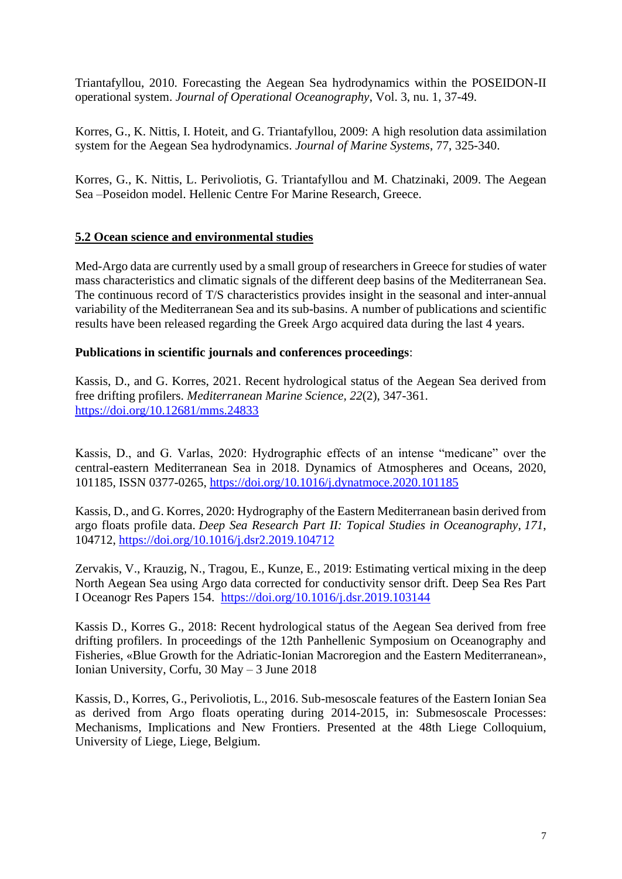Triantafyllou, 2010. Forecasting the Aegean Sea hydrodynamics within the POSEIDON-II operational system. *Journal of Operational Oceanography*, Vol. 3, nu. 1, 37-49.

Korres, G., K. Nittis, I. Hoteit, and G. Triantafyllou, 2009: A high resolution data assimilation system for the Aegean Sea hydrodynamics. *Journal of Marine Systems*, 77, 325-340.

Korres, G., K. Nittis, L. Perivoliotis, G. Triantafyllou and M. Chatzinaki, 2009. The Aegean Sea –Poseidon model. Hellenic Centre For Marine Research, Greece.

# **5.2 Ocean science and environmental studies**

Med-Argo data are currently used by a small group of researchers in Greece for studies of water mass characteristics and climatic signals of the different deep basins of the Mediterranean Sea. The continuous record of T/S characteristics provides insight in the seasonal and inter-annual variability of the Mediterranean Sea and its sub-basins. A number of publications and scientific results have been released regarding the Greek Argo acquired data during the last 4 years.

### **Publications in scientific journals and conferences proceedings**:

Kassis, D., and G. Korres, 2021. Recent hydrological status of the Aegean Sea derived from free drifting profilers. *Mediterranean Marine Science, 22*(2), 347-361. <https://doi.org/10.12681/mms.24833>

Kassis, D., and G. Varlas, 2020: Hydrographic effects of an intense "medicane" over the central-eastern Mediterranean Sea in 2018. Dynamics of Atmospheres and Oceans, 2020, 101185, ISSN 0377-0265,<https://doi.org/10.1016/j.dynatmoce.2020.101185>

Kassis, D., and G. Korres, 2020: Hydrography of the Eastern Mediterranean basin derived from argo floats profile data. *Deep Sea Research Part II: Topical Studies in Oceanography*, *171*, 104712,<https://doi.org/10.1016/j.dsr2.2019.104712>

Zervakis, V., Krauzig, N., Tragou, E., Kunze, E., 2019: Estimating vertical mixing in the deep North Aegean Sea using Argo data corrected for conductivity sensor drift. Deep Sea Res Part I Oceanogr Res Papers 154. <https://doi.org/10.1016/j.dsr.2019.103144>

Kassis D., Korres G., 2018: Recent hydrological status of the Aegean Sea derived from free drifting profilers. In proceedings of the 12th Panhellenic Symposium on Oceanography and Fisheries, «Blue Growth for the Adriatic-Ionian Macroregion and the Eastern Mediterranean», Ionian University, Corfu, 30 May – 3 June 2018

Kassis, D., Korres, G., Perivoliotis, L., 2016. Sub-mesoscale features of the Eastern Ionian Sea as derived from Argo floats operating during 2014-2015, in: Submesoscale Processes: Mechanisms, Implications and New Frontiers. Presented at the 48th Liege Colloquium, University of Liege, Liege, Belgium.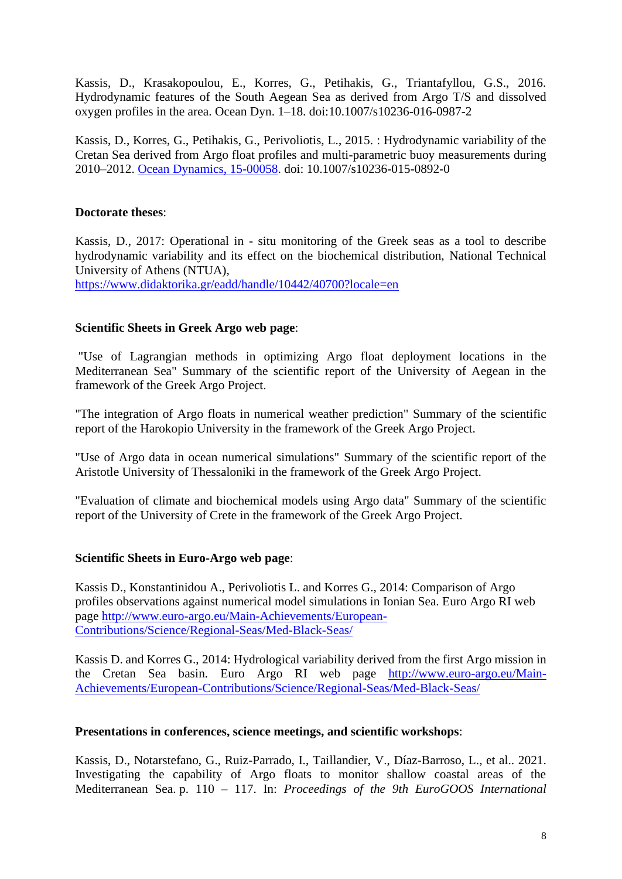Kassis, D., Krasakopoulou, E., Korres, G., Petihakis, G., Triantafyllou, G.S., 2016. Hydrodynamic features of the South Aegean Sea as derived from Argo T/S and dissolved oxygen profiles in the area. Ocean Dyn. 1–18. doi:10.1007/s10236-016-0987-2

Kassis, D., Korres, G., Petihakis, G., Perivoliotis, L., 2015. : Hydrodynamic variability of the Cretan Sea derived from Argo float profiles and multi-parametric buoy measurements during 2010–2012. [Ocean Dynamics, 15-00058.](http://link.springer.com/article/10.1007%2Fs10236-015-0892-0) doi: 10.1007/s10236-015-0892-0

### **Doctorate theses**:

Kassis, D., 2017: Operational in - situ monitoring of the Greek seas as a tool to describe hydrodynamic variability and its effect on the biochemical distribution, National Technical University of Athens (NTUA),

<https://www.didaktorika.gr/eadd/handle/10442/40700?locale=en>

### **Scientific Sheets in Greek Argo web page**:

"Use of Lagrangian methods in optimizing Argo float deployment locations in the Mediterranean Sea" Summary of the scientific report of the University of Aegean in the framework of the Greek Argo Project.

"The integration of Argo floats in numerical weather prediction" Summary of the scientific report of the Harokopio University in the framework of the Greek Argo Project.

"Use of Argo data in ocean numerical simulations" Summary of the scientific report of the Aristotle University of Thessaloniki in the framework of the Greek Argo Project.

"Evaluation of climate and biochemical models using Argo data" Summary of the scientific report of the University of Crete in the framework of the Greek Argo Project.

### **Scientific Sheets in Euro-Argo web page**:

Kassis D., Konstantinidou A., Perivoliotis L. and Korres G., 2014: Comparison of Argo profiles observations against numerical model simulations in Ionian Sea. Euro Argo RI web page [http://www.euro-argo.eu/Main-Achievements/European-](http://www.euro-argo.eu/Main-Achievements/European-Contributions/Science/Regional-Seas/Med-Black-Seas/)[Contributions/Science/Regional-Seas/Med-Black-Seas/](http://www.euro-argo.eu/Main-Achievements/European-Contributions/Science/Regional-Seas/Med-Black-Seas/)

Kassis D. and Korres G., 2014: Hydrological variability derived from the first Argo mission in the Cretan Sea basin. Euro Argo RI web page [http://www.euro-argo.eu/Main-](http://www.euro-argo.eu/Main-Achievements/European-Contributions/Science/Regional-Seas/Med-Black-Seas/)[Achievements/European-Contributions/Science/Regional-Seas/Med-Black-Seas/](http://www.euro-argo.eu/Main-Achievements/European-Contributions/Science/Regional-Seas/Med-Black-Seas/)

#### **Presentations in conferences, science meetings, and scientific workshops**:

Kassis, D., Notarstefano, G., Ruiz-Parrado, I., Taillandier, V., Díaz-Barroso, L., et al.. 2021. Investigating the capability of Argo floats to monitor shallow coastal areas of the Mediterranean Sea. p. 110 – 117. In: *Proceedings of the 9th EuroGOOS International*